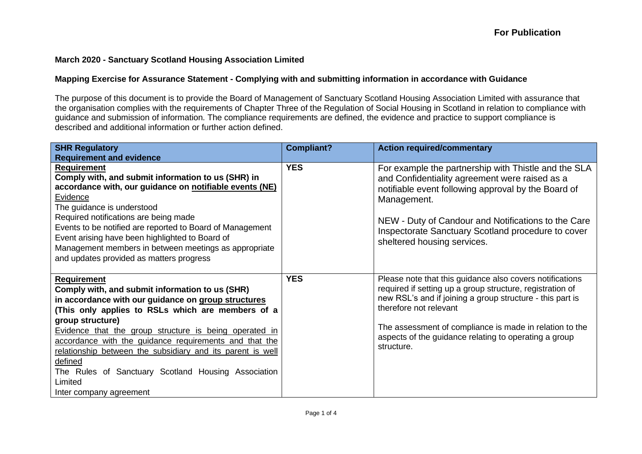## **March 2020 - Sanctuary Scotland Housing Association Limited**

## **Mapping Exercise for Assurance Statement - Complying with and submitting information in accordance with Guidance**

The purpose of this document is to provide the Board of Management of Sanctuary Scotland Housing Association Limited with assurance that the organisation complies with the requirements of Chapter Three of the Regulation of Social Housing in Scotland in relation to compliance with guidance and submission of information. The compliance requirements are defined, the evidence and practice to support compliance is described and additional information or further action defined.

| <b>SHR Regulatory</b>                                                                                                                                                                                                                                                                                                                                                                                                                                                                           | <b>Compliant?</b> | <b>Action required/commentary</b>                                                                                                                                                                                                                                                                                                              |
|-------------------------------------------------------------------------------------------------------------------------------------------------------------------------------------------------------------------------------------------------------------------------------------------------------------------------------------------------------------------------------------------------------------------------------------------------------------------------------------------------|-------------------|------------------------------------------------------------------------------------------------------------------------------------------------------------------------------------------------------------------------------------------------------------------------------------------------------------------------------------------------|
| <b>Requirement and evidence</b>                                                                                                                                                                                                                                                                                                                                                                                                                                                                 |                   |                                                                                                                                                                                                                                                                                                                                                |
| <b>Requirement</b><br>Comply with, and submit information to us (SHR) in<br>accordance with, our guidance on notifiable events (NE)<br>Evidence<br>The guidance is understood<br>Required notifications are being made<br>Events to be notified are reported to Board of Management<br>Event arising have been highlighted to Board of<br>Management members in between meetings as appropriate<br>and updates provided as matters progress                                                     | <b>YES</b>        | For example the partnership with Thistle and the SLA<br>and Confidentiality agreement were raised as a<br>notifiable event following approval by the Board of<br>Management.<br>NEW - Duty of Candour and Notifications to the Care<br>Inspectorate Sanctuary Scotland procedure to cover<br>sheltered housing services.                       |
| <b>Requirement</b><br>Comply with, and submit information to us (SHR)<br>in accordance with our guidance on group structures<br>(This only applies to RSLs which are members of a<br>group structure)<br>Evidence that the group structure is being operated in<br>accordance with the guidance requirements and that the<br>relationship between the subsidiary and its parent is well<br>defined<br>The Rules of Sanctuary Scotland Housing Association<br>Limited<br>Inter company agreement | <b>YES</b>        | Please note that this guidance also covers notifications<br>required if setting up a group structure, registration of<br>new RSL's and if joining a group structure - this part is<br>therefore not relevant<br>The assessment of compliance is made in relation to the<br>aspects of the guidance relating to operating a group<br>structure. |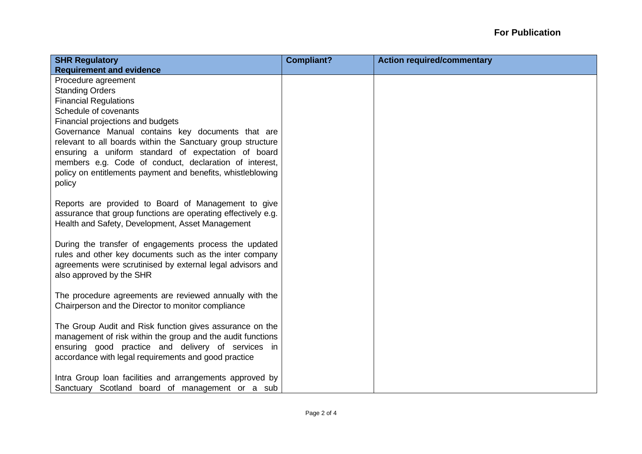| <b>SHR Regulatory</b>                                         | <b>Compliant?</b> | <b>Action required/commentary</b> |
|---------------------------------------------------------------|-------------------|-----------------------------------|
| <b>Requirement and evidence</b>                               |                   |                                   |
| Procedure agreement                                           |                   |                                   |
| <b>Standing Orders</b>                                        |                   |                                   |
| <b>Financial Regulations</b>                                  |                   |                                   |
| Schedule of covenants                                         |                   |                                   |
| Financial projections and budgets                             |                   |                                   |
| Governance Manual contains key documents that are             |                   |                                   |
| relevant to all boards within the Sanctuary group structure   |                   |                                   |
| ensuring a uniform standard of expectation of board           |                   |                                   |
| members e.g. Code of conduct, declaration of interest,        |                   |                                   |
| policy on entitlements payment and benefits, whistleblowing   |                   |                                   |
| policy                                                        |                   |                                   |
| Reports are provided to Board of Management to give           |                   |                                   |
| assurance that group functions are operating effectively e.g. |                   |                                   |
| Health and Safety, Development, Asset Management              |                   |                                   |
|                                                               |                   |                                   |
| During the transfer of engagements process the updated        |                   |                                   |
| rules and other key documents such as the inter company       |                   |                                   |
| agreements were scrutinised by external legal advisors and    |                   |                                   |
| also approved by the SHR                                      |                   |                                   |
|                                                               |                   |                                   |
| The procedure agreements are reviewed annually with the       |                   |                                   |
| Chairperson and the Director to monitor compliance            |                   |                                   |
|                                                               |                   |                                   |
| The Group Audit and Risk function gives assurance on the      |                   |                                   |
| management of risk within the group and the audit functions   |                   |                                   |
| ensuring good practice and delivery of services in            |                   |                                   |
| accordance with legal requirements and good practice          |                   |                                   |
| Intra Group loan facilities and arrangements approved by      |                   |                                   |
| Sanctuary Scotland board of management or a sub               |                   |                                   |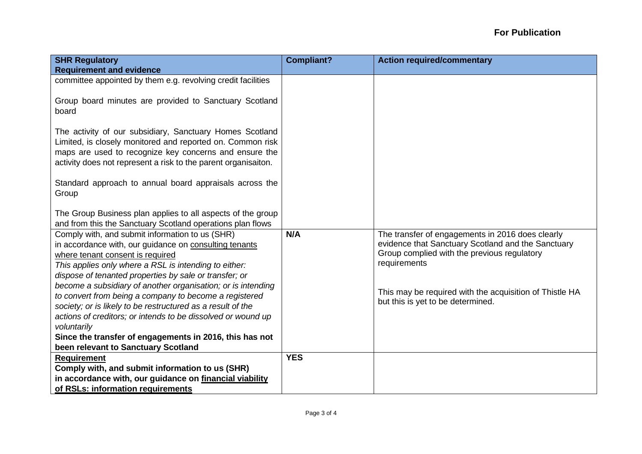| <b>SHR Regulatory</b><br><b>Requirement and evidence</b>                                                                                                                                                                                                                                                                                                                                                                                                                                                                                 | <b>Compliant?</b> | <b>Action required/commentary</b>                                                                                                                                                                                                                                     |
|------------------------------------------------------------------------------------------------------------------------------------------------------------------------------------------------------------------------------------------------------------------------------------------------------------------------------------------------------------------------------------------------------------------------------------------------------------------------------------------------------------------------------------------|-------------------|-----------------------------------------------------------------------------------------------------------------------------------------------------------------------------------------------------------------------------------------------------------------------|
| committee appointed by them e.g. revolving credit facilities                                                                                                                                                                                                                                                                                                                                                                                                                                                                             |                   |                                                                                                                                                                                                                                                                       |
|                                                                                                                                                                                                                                                                                                                                                                                                                                                                                                                                          |                   |                                                                                                                                                                                                                                                                       |
| Group board minutes are provided to Sanctuary Scotland<br>board                                                                                                                                                                                                                                                                                                                                                                                                                                                                          |                   |                                                                                                                                                                                                                                                                       |
| The activity of our subsidiary, Sanctuary Homes Scotland<br>Limited, is closely monitored and reported on. Common risk<br>maps are used to recognize key concerns and ensure the<br>activity does not represent a risk to the parent organisaiton.                                                                                                                                                                                                                                                                                       |                   |                                                                                                                                                                                                                                                                       |
| Standard approach to annual board appraisals across the<br>Group                                                                                                                                                                                                                                                                                                                                                                                                                                                                         |                   |                                                                                                                                                                                                                                                                       |
| The Group Business plan applies to all aspects of the group                                                                                                                                                                                                                                                                                                                                                                                                                                                                              |                   |                                                                                                                                                                                                                                                                       |
| and from this the Sanctuary Scotland operations plan flows                                                                                                                                                                                                                                                                                                                                                                                                                                                                               |                   |                                                                                                                                                                                                                                                                       |
| Comply with, and submit information to us (SHR)<br>in accordance with, our guidance on consulting tenants<br>where tenant consent is required<br>This applies only where a RSL is intending to either:<br>dispose of tenanted properties by sale or transfer; or<br>become a subsidiary of another organisation; or is intending<br>to convert from being a company to become a registered<br>society; or is likely to be restructured as a result of the<br>actions of creditors; or intends to be dissolved or wound up<br>voluntarily | N/A               | The transfer of engagements in 2016 does clearly<br>evidence that Sanctuary Scotland and the Sanctuary<br>Group complied with the previous regulatory<br>requirements<br>This may be required with the acquisition of Thistle HA<br>but this is yet to be determined. |
| Since the transfer of engagements in 2016, this has not                                                                                                                                                                                                                                                                                                                                                                                                                                                                                  |                   |                                                                                                                                                                                                                                                                       |
| been relevant to Sanctuary Scotland                                                                                                                                                                                                                                                                                                                                                                                                                                                                                                      |                   |                                                                                                                                                                                                                                                                       |
| <b>Requirement</b>                                                                                                                                                                                                                                                                                                                                                                                                                                                                                                                       | <b>YES</b>        |                                                                                                                                                                                                                                                                       |
| Comply with, and submit information to us (SHR)                                                                                                                                                                                                                                                                                                                                                                                                                                                                                          |                   |                                                                                                                                                                                                                                                                       |
| in accordance with, our guidance on financial viability                                                                                                                                                                                                                                                                                                                                                                                                                                                                                  |                   |                                                                                                                                                                                                                                                                       |
| of RSLs: information requirements                                                                                                                                                                                                                                                                                                                                                                                                                                                                                                        |                   |                                                                                                                                                                                                                                                                       |